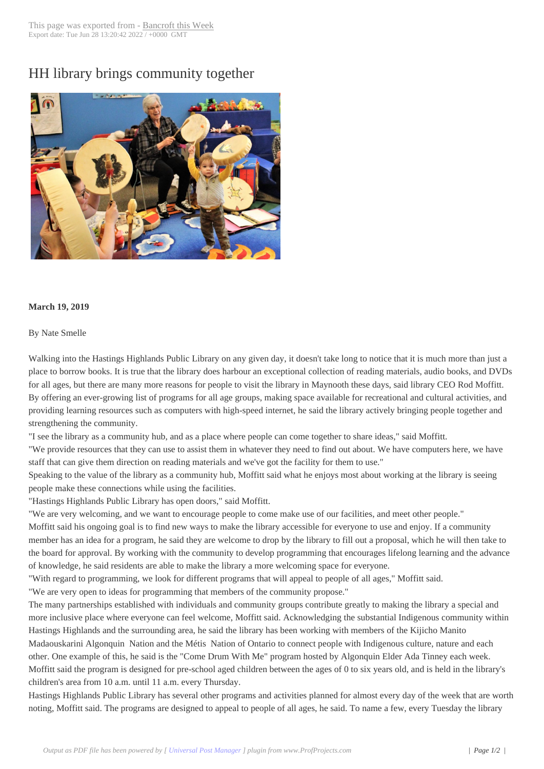## HH library brings [community to](http://www.bancroftthisweek.com/?p=9638)gether



## **March 19, 2019**

## By Nate Smelle

Walking into the Hastings Highlands Public Library on any given day, it doesn't take long to notice that it is much more than just a place to borrow books. It is true that the library does harbour an exceptional collection of reading materials, audio books, and DVDs for all ages, but there are many more reasons for people to visit the library in Maynooth these days, said library CEO Rod Moffitt. By offering an ever-growing list of programs for all age groups, making space available for recreational and cultural activities, and providing learning resources such as computers with high-speed internet, he said the library actively bringing people together and strengthening the community.

"I see the library as a community hub, and as a place where people can come together to share ideas," said Moffitt.

"We provide resources that they can use to assist them in whatever they need to find out about. We have computers here, we have staff that can give them direction on reading materials and we've got the facility for them to use."

Speaking to the value of the library as a community hub, Moffitt said what he enjoys most about working at the library is seeing people make these connections while using the facilities.

"Hastings Highlands Public Library has open doors," said Moffitt.

"We are very welcoming, and we want to encourage people to come make use of our facilities, and meet other people."

Moffitt said his ongoing goal is to find new ways to make the library accessible for everyone to use and enjoy. If a community member has an idea for a program, he said they are welcome to drop by the library to fill out a proposal, which he will then take to the board for approval. By working with the community to develop programming that encourages lifelong learning and the advance of knowledge, he said residents are able to make the library a more welcoming space for everyone.

"With regard to programming, we look for different programs that will appeal to people of all ages," Moffitt said.

"We are very open to ideas for programming that members of the community propose."

The many partnerships established with individuals and community groups contribute greatly to making the library a special and more inclusive place where everyone can feel welcome, Moffitt said. Acknowledging the substantial Indigenous community within Hastings Highlands and the surrounding area, he said the library has been working with members of the Kijicho Manito

Madaouskarini Algonquin Nation and the Métis Nation of Ontario to connect people with Indigenous culture, nature and each other. One example of this, he said is the "Come Drum With Me" program hosted by Algonquin Elder Ada Tinney each week. Moffitt said the program is designed for pre-school aged children between the ages of 0 to six years old, and is held in the library's children's area from 10 a.m. until 11 a.m. every Thursday.

Hastings Highlands Public Library has several other programs and activities planned for almost every day of the week that are worth noting, Moffitt said. The programs are designed to appeal to people of all ages, he said. To name a few, every Tuesday the library